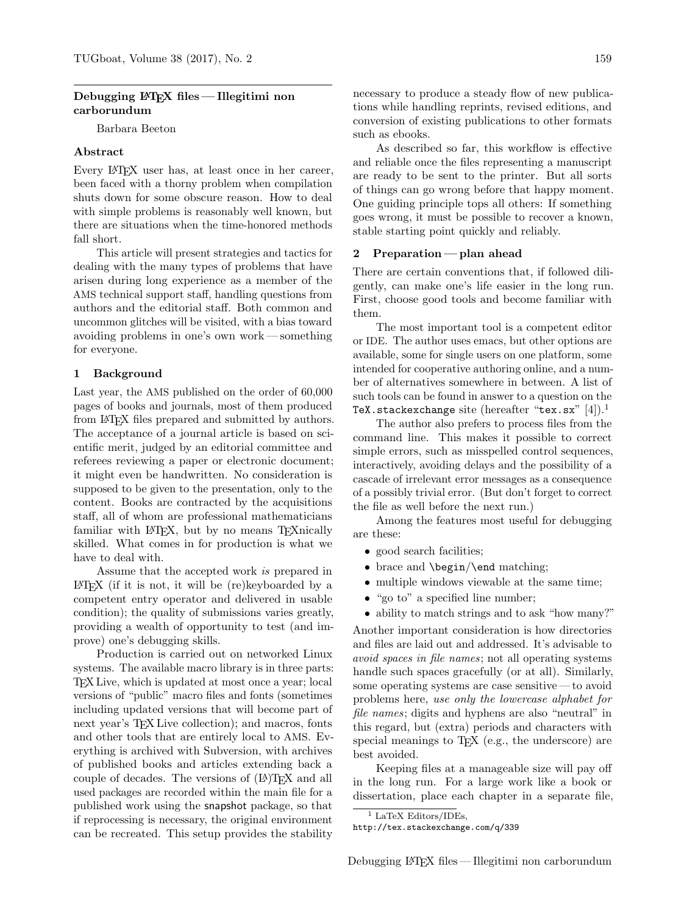## Debugging LAT<sub>EX</sub> files — Illegitimi non carborundum

Barbara Beeton

## Abstract

Every LATEX user has, at least once in her career, been faced with a thorny problem when compilation shuts down for some obscure reason. How to deal with simple problems is reasonably well known, but there are situations when the time-honored methods fall short.

This article will present strategies and tactics for dealing with the many types of problems that have arisen during long experience as a member of the AMS technical support staff, handling questions from authors and the editorial staff. Both common and uncommon glitches will be visited, with a bias toward avoiding problems in one's own work— something for everyone.

### 1 Background

Last year, the AMS published on the order of 60,000 pages of books and journals, most of them produced from LATEX files prepared and submitted by authors. The acceptance of a journal article is based on scientific merit, judged by an editorial committee and referees reviewing a paper or electronic document; it might even be handwritten. No consideration is supposed to be given to the presentation, only to the content. Books are contracted by the acquisitions staff, all of whom are professional mathematicians familiar with LAT<sub>EX</sub>, but by no means T<sub>EX</sub>nically skilled. What comes in for production is what we have to deal with.

Assume that the accepted work is prepared in LATEX (if it is not, it will be (re)keyboarded by a competent entry operator and delivered in usable condition); the quality of submissions varies greatly, providing a wealth of opportunity to test (and improve) one's debugging skills.

Production is carried out on networked Linux systems. The available macro library is in three parts: TEX Live, which is updated at most once a year; local versions of "public" macro files and fonts (sometimes including updated versions that will become part of next year's T<sub>EX</sub> Live collection); and macros, fonts and other tools that are entirely local to AMS. Everything is archived with Subversion, with archives of published books and articles extending back a couple of decades. The versions of  $(LA)TFX$  and all used packages are recorded within the main file for a published work using the snapshot package, so that if reprocessing is necessary, the original environment can be recreated. This setup provides the stability

necessary to produce a steady flow of new publications while handling reprints, revised editions, and conversion of existing publications to other formats such as ebooks.

As described so far, this workflow is effective and reliable once the files representing a manuscript are ready to be sent to the printer. But all sorts of things can go wrong before that happy moment. One guiding principle tops all others: If something goes wrong, it must be possible to recover a known, stable starting point quickly and reliably.

### 2 Preparation — plan ahead

There are certain conventions that, if followed diligently, can make one's life easier in the long run. First, choose good tools and become familiar with them.

The most important tool is a competent editor or IDE. The author uses emacs, but other options are available, some for single users on one platform, some intended for cooperative authoring online, and a number of alternatives somewhere in between. A list of such tools can be found in answer to a question on the TeX.stackexchange site (hereafter "tex.sx"  $[4]$ ).<sup>1</sup>

The author also prefers to process files from the command line. This makes it possible to correct simple errors, such as misspelled control sequences, interactively, avoiding delays and the possibility of a cascade of irrelevant error messages as a consequence of a possibly trivial error. (But don't forget to correct the file as well before the next run.)

Among the features most useful for debugging are these:

- good search facilities;
- brace and \begin/\end matching;
- multiple windows viewable at the same time;
- "go to" a specified line number;
- ability to match strings and to ask "how many?"

Another important consideration is how directories and files are laid out and addressed. It's advisable to avoid spaces in file names; not all operating systems handle such spaces gracefully (or at all). Similarly, some operating systems are case sensitive — to avoid problems here, use only the lowercase alphabet for file names; digits and hyphens are also "neutral" in this regard, but (extra) periods and characters with special meanings to T<sub>E</sub>X (e.g., the underscore) are best avoided.

Keeping files at a manageable size will pay off in the long run. For a large work like a book or dissertation, place each chapter in a separate file,

<sup>&</sup>lt;sup>1</sup> LaTeX Editors/IDEs,

http://tex.stackexchange.com/q/339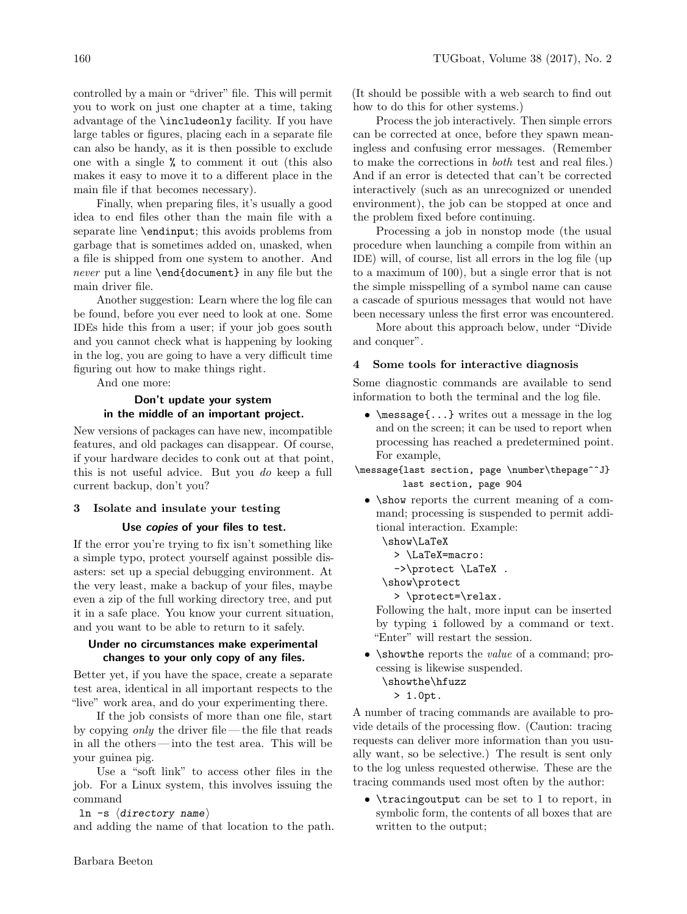controlled by a main or "driver" file. This will permit you to work on just one chapter at a time, taking advantage of the \includeonly facility. If you have large tables or figures, placing each in a separate file can also be handy, as it is then possible to exclude one with a single % to comment it out (this also makes it easy to move it to a different place in the main file if that becomes necessary).

Finally, when preparing files, it's usually a good idea to end files other than the main file with a separate line \endinput; this avoids problems from garbage that is sometimes added on, unasked, when a file is shipped from one system to another. And never put a line \end{document} in any file but the main driver file.

Another suggestion: Learn where the log file can be found, before you ever need to look at one. Some IDEs hide this from a user; if your job goes south and you cannot check what is happening by looking in the log, you are going to have a very difficult time figuring out how to make things right.

And one more:

# Don't update your system in the middle of an important project.

New versions of packages can have new, incompatible features, and old packages can disappear. Of course, if your hardware decides to conk out at that point, this is not useful advice. But you do keep a full current backup, don't you?

# 3 Isolate and insulate your testing

## Use **copies** of your files to test.

If the error you're trying to fix isn't something like a simple typo, protect yourself against possible disasters: set up a special debugging environment. At the very least, make a backup of your files, maybe even a zip of the full working directory tree, and put it in a safe place. You know your current situation, and you want to be able to return to it safely.

## Under no circumstances make experimental changes to your only copy of any files.

Better yet, if you have the space, create a separate test area, identical in all important respects to the "live" work area, and do your experimenting there.

If the job consists of more than one file, start by copying *only* the driver file—the file that reads in all the others— into the test area. This will be your guinea pig.

Use a "soft link" to access other files in the job. For a Linux system, this involves issuing the command

ln -s  $\langle$ directory name $\rangle$ 

and adding the name of that location to the path.

(It should be possible with a web search to find out how to do this for other systems.)

Process the job interactively. Then simple errors can be corrected at once, before they spawn meaningless and confusing error messages. (Remember to make the corrections in both test and real files.) And if an error is detected that can't be corrected interactively (such as an unrecognized or unended environment), the job can be stopped at once and the problem fixed before continuing.

Processing a job in nonstop mode (the usual procedure when launching a compile from within an IDE) will, of course, list all errors in the log file (up to a maximum of 100), but a single error that is not the simple misspelling of a symbol name can cause a cascade of spurious messages that would not have been necessary unless the first error was encountered.

More about this approach below, under "Divide and conquer".

# Some tools for interactive diagnosis

Some diagnostic commands are available to send information to both the terminal and the log file.

- \message{...} writes out a message in the log and on the screen; it can be used to report when processing has reached a predetermined point. For example,
- \message{last section, page \number\thepage^^J} last section, page 904
	- \show reports the current meaning of a command; processing is suspended to permit additional interaction. Example:
		- \show\LaTeX
			- > \LaTeX=macro:
			- ->\protect \LaTeX .
		- \show\protect

> \protect=\relax.

Following the halt, more input can be inserted by typing i followed by a command or text. "Enter" will restart the session.

- \showthe reports the value of a command; processing is likewise suspended.
	- \showthe\hfuzz
		- > 1.0pt.

A number of tracing commands are available to provide details of the processing flow. (Caution: tracing requests can deliver more information than you usually want, so be selective.) The result is sent only to the log unless requested otherwise. These are the tracing commands used most often by the author:

• \tracingoutput can be set to 1 to report, in symbolic form, the contents of all boxes that are written to the output;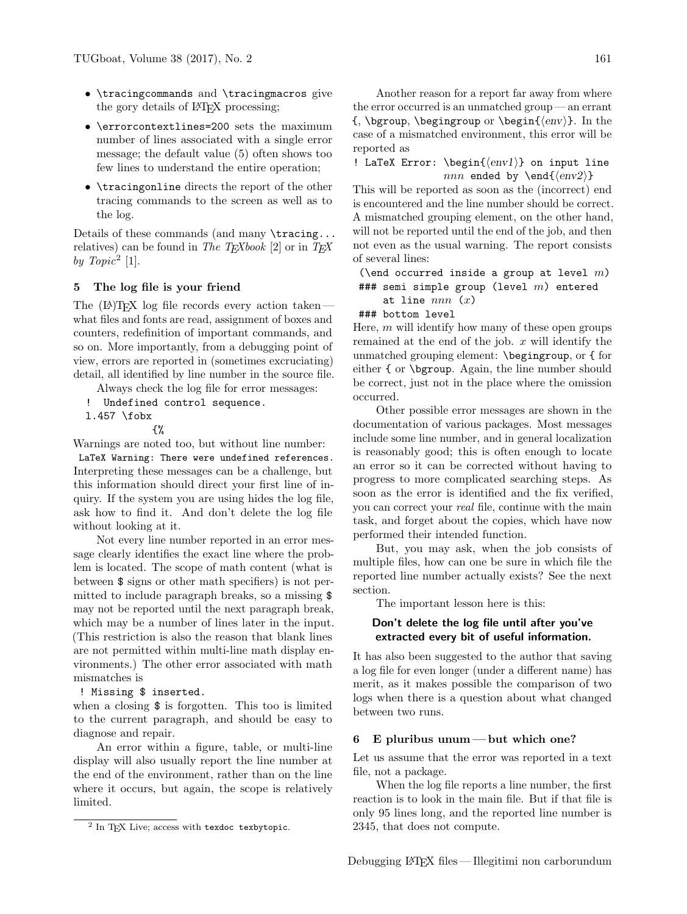- \tracingcommands and \tracingmacros give the gory details of LAT<sub>EX</sub> processing;
- \errorcontextlines=200 sets the maximum number of lines associated with a single error message; the default value (5) often shows too few lines to understand the entire operation;
- \tracingonline directs the report of the other tracing commands to the screen as well as to the log.

Details of these commands (and many \tracing... relatives) can be found in The TEXbook [2] or in TEX by  $Topic^2$  [1].

# 5 The log file is your friend

The  $(E)$ T<sub>F</sub>X log file records every action taken what files and fonts are read, assignment of boxes and counters, redefinition of important commands, and so on. More importantly, from a debugging point of view, errors are reported in (sometimes excruciating) detail, all identified by line number in the source file.

- Always check the log file for error messages:
- ! Undefined control sequence.
- l.457 \fobx

{%

Warnings are noted too, but without line number:

LaTeX Warning: There were undefined references. Interpreting these messages can be a challenge, but this information should direct your first line of inquiry. If the system you are using hides the log file, ask how to find it. And don't delete the log file without looking at it.

Not every line number reported in an error message clearly identifies the exact line where the problem is located. The scope of math content (what is between \$ signs or other math specifiers) is not permitted to include paragraph breaks, so a missing \$ may not be reported until the next paragraph break, which may be a number of lines later in the input. (This restriction is also the reason that blank lines are not permitted within multi-line math display environments.) The other error associated with math mismatches is

## ! Missing \$ inserted.

when a closing  $\frac{1}{2}$  is forgotten. This too is limited to the current paragraph, and should be easy to diagnose and repair.

An error within a figure, table, or multi-line display will also usually report the line number at the end of the environment, rather than on the line where it occurs, but again, the scope is relatively limited.

Another reason for a report far away from where the error occurred is an unmatched group — an errant  ${\hbox{span}} \begin{pmatrix} \Phi & \Phi' \end{pmatrix}.$  In the case of a mismatched environment, this error will be reported as

! LaTeX Error:  $\begin{array}{c}\n 0 \quad \text{input line} \\
 1 \quad \text{inec} \\
 2 \quad \text{inec} \\
 3 \quad \text{inec} \\
 4 \quad \text{inec} \\
 5 \quad \text{inec} \\
 6 \quad \text{incc} \\
 7 \quad \text{inec} \\
 8 \quad \text{incc} \\
 9 \quad \text{incc} \\
 1 \quad \text{incc} \\
 1 \quad \text{incc} \\
 1 \quad \text{incc} \\
 2 \quad \text{incc} \\
 3 \quad \text{incc} \\
 4 \quad \text{incc} \\
 5 \quad \text{incc} \\
 6 \quad \text{incc$ nnn ended by \end{ $\langle env2 \rangle$ }

This will be reported as soon as the (incorrect) end is encountered and the line number should be correct. A mismatched grouping element, on the other hand, will not be reported until the end of the job, and then not even as the usual warning. The report consists of several lines:

```
(\end occurred inside a group at level m)
### semi simple group (level m) entered
    at line nnn(x)
```
### ### bottom level

Here,  $m$  will identify how many of these open groups remained at the end of the job.  $x$  will identify the unmatched grouping element: \begingroup, or { for either { or \bgroup. Again, the line number should be correct, just not in the place where the omission occurred.

Other possible error messages are shown in the documentation of various packages. Most messages include some line number, and in general localization is reasonably good; this is often enough to locate an error so it can be corrected without having to progress to more complicated searching steps. As soon as the error is identified and the fix verified, you can correct your real file, continue with the main task, and forget about the copies, which have now performed their intended function.

But, you may ask, when the job consists of multiple files, how can one be sure in which file the reported line number actually exists? See the next section.

The important lesson here is this:

## Don't delete the log file until after you've extracted every bit of useful information.

It has also been suggested to the author that saving a log file for even longer (under a different name) has merit, as it makes possible the comparison of two logs when there is a question about what changed between two runs.

### 6 E pluribus unum— but which one?

Let us assume that the error was reported in a text file, not a package.

When the log file reports a line number, the first reaction is to look in the main file. But if that file is only 95 lines long, and the reported line number is 2345, that does not compute.

 $^2$  In TEX Live; access with texdoc texbytopic.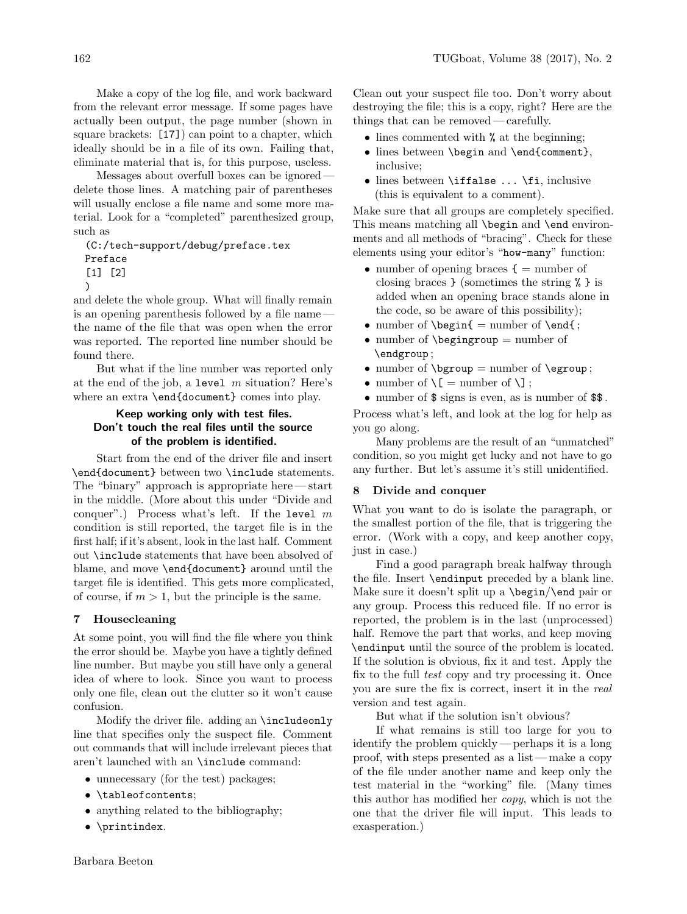Make a copy of the log file, and work backward from the relevant error message. If some pages have actually been output, the page number (shown in square brackets: [17]) can point to a chapter, which ideally should be in a file of its own. Failing that, eliminate material that is, for this purpose, useless.

Messages about overfull boxes can be ignored delete those lines. A matching pair of parentheses will usually enclose a file name and some more material. Look for a "completed" parenthesized group, such as

(C:/tech-support/debug/preface.tex Preface [1] [2]

```
)
```
and delete the whole group. What will finally remain is an opening parenthesis followed by a file name the name of the file that was open when the error was reported. The reported line number should be found there.

But what if the line number was reported only at the end of the job, a level  $m$  situation? Here's where an extra \end{document} comes into play.

# Keep working only with test files. Don't touch the real files until the source of the problem is identified.

Start from the end of the driver file and insert \end{document} between two \include statements. The "binary" approach is appropriate here— start in the middle. (More about this under "Divide and conquer".) Process what's left. If the level  $m$ condition is still reported, the target file is in the first half; if it's absent, look in the last half. Comment out \include statements that have been absolved of blame, and move \end{document} around until the target file is identified. This gets more complicated, of course, if  $m > 1$ , but the principle is the same.

# 7 Housecleaning

At some point, you will find the file where you think the error should be. Maybe you have a tightly defined line number. But maybe you still have only a general idea of where to look. Since you want to process only one file, clean out the clutter so it won't cause confusion.

Modify the driver file. adding an \includeonly line that specifies only the suspect file. Comment out commands that will include irrelevant pieces that aren't launched with an \include command:

- unnecessary (for the test) packages;
- \tableofcontents;
- anything related to the bibliography;
- \printindex.

Clean out your suspect file too. Don't worry about destroying the file; this is a copy, right? Here are the things that can be removed— carefully.

- lines commented with % at the beginning;
- lines between \begin and \end{comment}, inclusive;
- lines between \iffalse ... \fi, inclusive (this is equivalent to a comment).

Make sure that all groups are completely specified. This means matching all \begin and \end environments and all methods of "bracing". Check for these elements using your editor's "how-many" function:

- number of opening braces  $\{ = \text{number of}$ closing braces } (sometimes the string % } is added when an opening brace stands alone in the code, so be aware of this possibility);
- number of  $\begin{cases} = \text{number of } \end{cases}$
- number of  $\begin{cases} p = n \end{cases}$ \endgroup ;
- number of  $\begin{cases} n = \text{otherwise} \end{cases}$
- number of  $\lvert \cdot \rvert =$  number of  $\lvert \cdot \rvert$ ;
- number of \$ signs is even, as is number of \$\$ .

Process what's left, and look at the log for help as you go along.

Many problems are the result of an "unmatched" condition, so you might get lucky and not have to go any further. But let's assume it's still unidentified.

# 8 Divide and conquer

What you want to do is isolate the paragraph, or the smallest portion of the file, that is triggering the error. (Work with a copy, and keep another copy, just in case.)

Find a good paragraph break halfway through the file. Insert \endinput preceded by a blank line. Make sure it doesn't split up a \begin/\end pair or any group. Process this reduced file. If no error is reported, the problem is in the last (unprocessed) half. Remove the part that works, and keep moving \endinput until the source of the problem is located. If the solution is obvious, fix it and test. Apply the fix to the full *test* copy and try processing it. Once you are sure the fix is correct, insert it in the real version and test again.

But what if the solution isn't obvious?

If what remains is still too large for you to identify the problem quickly— perhaps it is a long proof, with steps presented as a list— make a copy of the file under another name and keep only the test material in the "working" file. (Many times this author has modified her copy, which is not the one that the driver file will input. This leads to exasperation.)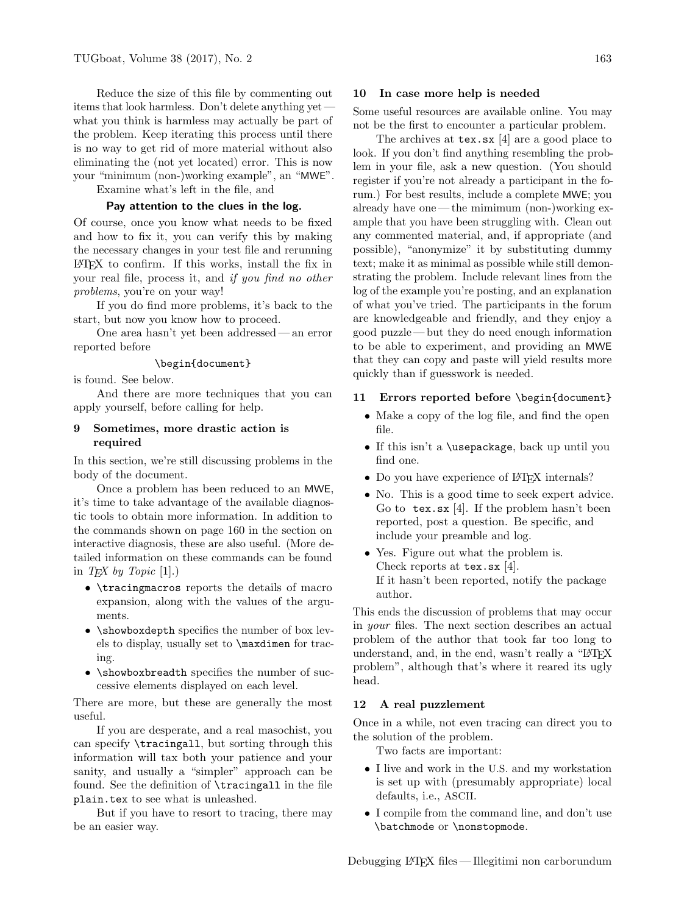Reduce the size of this file by commenting out items that look harmless. Don't delete anything yet what you think is harmless may actually be part of the problem. Keep iterating this process until there is no way to get rid of more material without also eliminating the (not yet located) error. This is now your "minimum (non-)working example", an "MWE". Examine what's left in the file, and

#### Pay attention to the clues in the log.

Of course, once you know what needs to be fixed and how to fix it, you can verify this by making the necessary changes in your test file and rerunning  $\Delta E$ FIFX to confirm. If this works, install the fix in your real file, process it, and if you find no other problems, you're on your way!

If you do find more problems, it's back to the start, but now you know how to proceed.

One area hasn't yet been addressed— an error reported before

### \begin{document}

is found. See below.

And there are more techniques that you can apply yourself, before calling for help.

### 9 Sometimes, more drastic action is required

In this section, we're still discussing problems in the body of the document.

Once a problem has been reduced to an MWE, it's time to take advantage of the available diagnostic tools to obtain more information. In addition to the commands shown on page 160 in the section on interactive diagnosis, these are also useful. (More detailed information on these commands can be found in TEX by Topic  $[1]$ .)

- \tracingmacros reports the details of macro expansion, along with the values of the arguments.
- **\showboxdepth** specifies the number of box levels to display, usually set to \maxdimen for tracing.
- \showboxbreadth specifies the number of successive elements displayed on each level.

There are more, but these are generally the most useful.

If you are desperate, and a real masochist, you can specify \tracingall, but sorting through this information will tax both your patience and your sanity, and usually a "simpler" approach can be found. See the definition of \tracingall in the file plain.tex to see what is unleashed.

But if you have to resort to tracing, there may be an easier way.

### 10 In case more help is needed

Some useful resources are available online. You may not be the first to encounter a particular problem.

The archives at tex.sx [4] are a good place to look. If you don't find anything resembling the problem in your file, ask a new question. (You should register if you're not already a participant in the forum.) For best results, include a complete MWE; you already have one — the mimimum (non-)working example that you have been struggling with. Clean out any commented material, and, if appropriate (and possible), "anonymize" it by substituting dummy text; make it as minimal as possible while still demonstrating the problem. Include relevant lines from the log of the example you're posting, and an explanation of what you've tried. The participants in the forum are knowledgeable and friendly, and they enjoy a good puzzle — but they do need enough information to be able to experiment, and providing an MWE that they can copy and paste will yield results more quickly than if guesswork is needed.

### 11 Errors reported before \begin{document}

- Make a copy of the log file, and find the open file.
- If this isn't a \usepackage, back up until you find one.
- Do you have experience of L<sup>AT</sup>FX internals?
- No. This is a good time to seek expert advice. Go to tex.sx [4]. If the problem hasn't been reported, post a question. Be specific, and include your preamble and log.
- Yes. Figure out what the problem is. Check reports at tex.sx [4]. If it hasn't been reported, notify the package author.

This ends the discussion of problems that may occur in your files. The next section describes an actual problem of the author that took far too long to understand, and, in the end, wasn't really a "LATEX" problem", although that's where it reared its ugly head.

### 12 A real puzzlement

Once in a while, not even tracing can direct you to the solution of the problem.

Two facts are important:

- I live and work in the U.S. and my workstation is set up with (presumably appropriate) local defaults, i.e., ASCII.
- I compile from the command line, and don't use \batchmode or \nonstopmode.